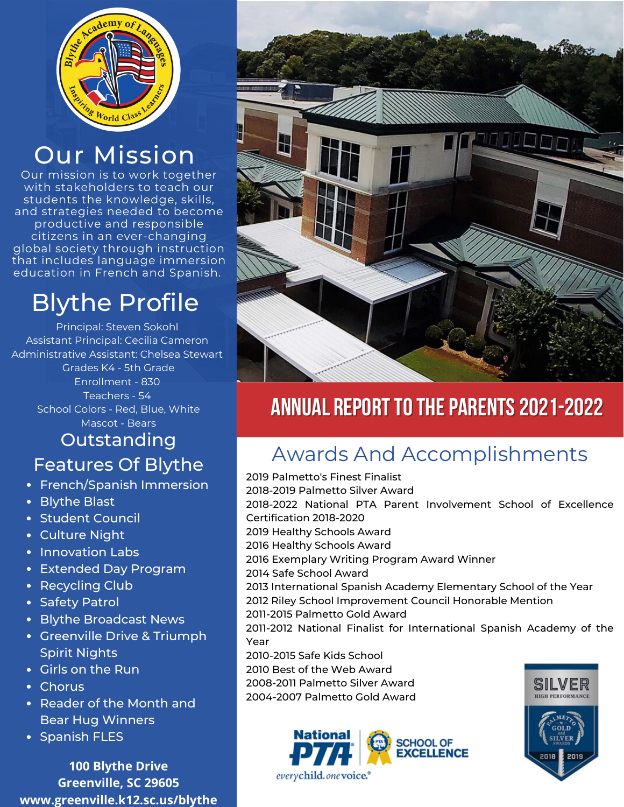

## Our Mission

Our mission is to work together with stakeholders to teach our students the knowledge, skills, and strategies needed to become productive and responsible citizens in an ever-changing global society through instruction that includes language immersion education in French and Spanish.

## Blythe Profile

Principal: Steven Sokohl Assistant Principal: Cecilia Cameron Administrative Assistant: Chelsea Stewart Grades K4 - 5th Grade Enrollment - 830 Teachers - 54 School Colors - Red, Blue, White Mascot - Bears

## Outstanding

- French/Spanish Immersion
- Blythe Blast
- Student Council
- Culture Night
- Innovation Labs
- Extended Day Program
- Recycling Club
- Safety Patrol
- Blythe Broadcast News
- Greenville Drive & Triumph Spirit Nights
- Girls on the Run
- Chorus
- Reader of the Month and Bear Hug Winners
- Spanish FLES

**100 Blythe Drive Greenville, SC 29605 www.greenville.k12.sc.us/blythe**



### ANNUAL REPORT TO THE PARENTS 2021-2022

## Features Of Blythe Awards And Accomplishments

2019 Palmetto's Finest Finalist 2018-2019 Palmetto Silver Award 2018-2022 National PTA Parent Involvement School of Excellence Certification 2018-2020 2019 Healthy Schools Award 2016 Healthy Schools Award 2016 Exemplary Writing Program Award Winner 2014 Safe School Award 2013 International Spanish Academy Elementary School of the Year 2012 Riley School Improvement Council Honorable Mention 2011-2015 Palmetto Gold Award 2011-2012 National Finalist for International Spanish Academy of the Year 2010-2015 Safe Kids School 2010 Best of the Web Award 2008-2011 Palmetto Silver Award SILVER 2004-2007 Palmetto Gold Award **HIGH PERFORMANC**